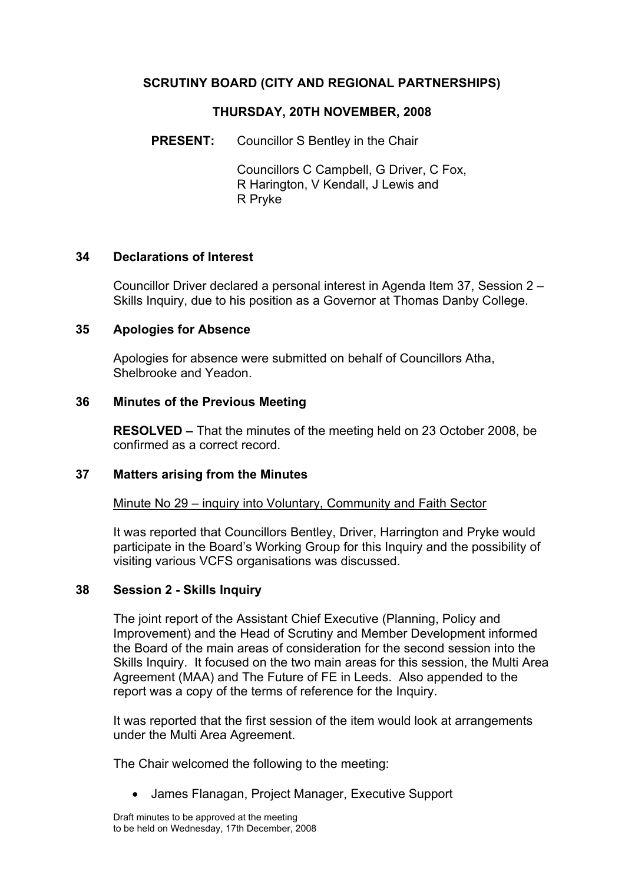## **SCRUTINY BOARD (CITY AND REGIONAL PARTNERSHIPS)**

## **THURSDAY, 20TH NOVEMBER, 2008**

**PRESENT:** Councillor S Bentley in the Chair

Councillors C Campbell, G Driver, C Fox, R Harington, V Kendall, J Lewis and R Pryke

## **34 Declarations of Interest**

Councillor Driver declared a personal interest in Agenda Item 37, Session 2 – Skills Inquiry, due to his position as a Governor at Thomas Danby College.

## **35 Apologies for Absence**

Apologies for absence were submitted on behalf of Councillors Atha, Shelbrooke and Yeadon.

## **36 Minutes of the Previous Meeting**

**RESOLVED –** That the minutes of the meeting held on 23 October 2008, be confirmed as a correct record.

#### **37 Matters arising from the Minutes**

Minute No 29 – inquiry into Voluntary, Community and Faith Sector

It was reported that Councillors Bentley, Driver, Harrington and Pryke would participate in the Board's Working Group for this Inquiry and the possibility of visiting various VCFS organisations was discussed.

#### **38 Session 2 - Skills Inquiry**

The joint report of the Assistant Chief Executive (Planning, Policy and Improvement) and the Head of Scrutiny and Member Development informed the Board of the main areas of consideration for the second session into the Skills Inquiry. It focused on the two main areas for this session, the Multi Area Agreement (MAA) and The Future of FE in Leeds. Also appended to the report was a copy of the terms of reference for the Inquiry.

It was reported that the first session of the item would look at arrangements under the Multi Area Agreement.

The Chair welcomed the following to the meeting:

• James Flanagan, Project Manager, Executive Support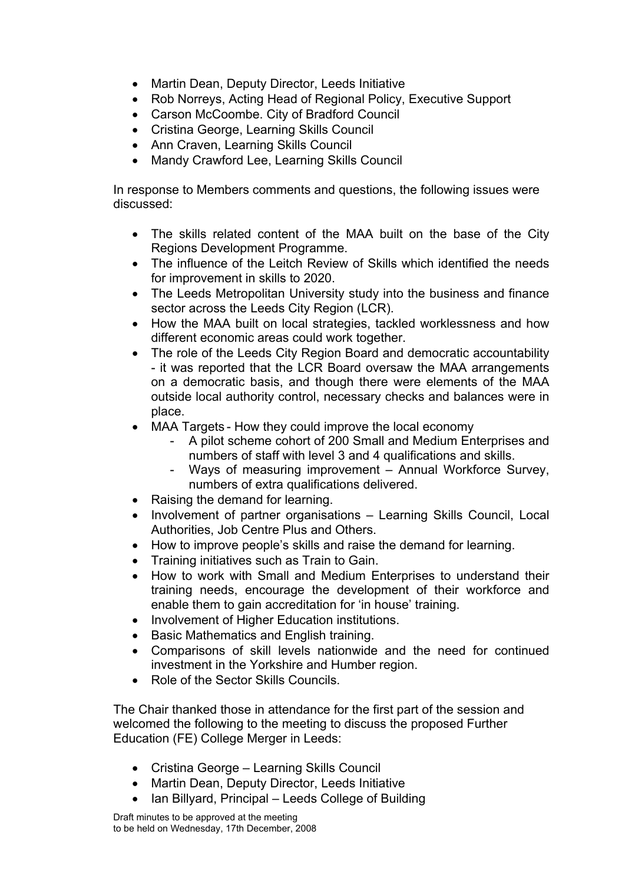- Martin Dean, Deputy Director, Leeds Initiative
- Rob Norreys, Acting Head of Regional Policy, Executive Support
- Carson McCoombe. City of Bradford Council
- Cristina George, Learning Skills Council
- Ann Craven, Learning Skills Council
- Mandy Crawford Lee, Learning Skills Council

In response to Members comments and questions, the following issues were discussed:

- The skills related content of the MAA built on the base of the City Regions Development Programme.
- The influence of the Leitch Review of Skills which identified the needs for improvement in skills to 2020.
- The Leeds Metropolitan University study into the business and finance sector across the Leeds City Region (LCR).
- How the MAA built on local strategies, tackled worklessness and how different economic areas could work together.
- The role of the Leeds City Region Board and democratic accountability - it was reported that the LCR Board oversaw the MAA arrangements on a democratic basis, and though there were elements of the MAA outside local authority control, necessary checks and balances were in place.
- MAA Targets How they could improve the local economy
	- A pilot scheme cohort of 200 Small and Medium Enterprises and numbers of staff with level 3 and 4 qualifications and skills.
	- Ways of measuring improvement Annual Workforce Survey, numbers of extra qualifications delivered.
- Raising the demand for learning.
- Involvement of partner organisations Learning Skills Council, Local Authorities, Job Centre Plus and Others.
- How to improve people's skills and raise the demand for learning.
- Training initiatives such as Train to Gain.
- How to work with Small and Medium Enterprises to understand their training needs, encourage the development of their workforce and enable them to gain accreditation for 'in house' training.
- Involvement of Higher Education institutions.
- Basic Mathematics and English training.
- Comparisons of skill levels nationwide and the need for continued investment in the Yorkshire and Humber region.
- Role of the Sector Skills Councils.

The Chair thanked those in attendance for the first part of the session and welcomed the following to the meeting to discuss the proposed Further Education (FE) College Merger in Leeds:

- Cristina George Learning Skills Council
- Martin Dean, Deputy Director, Leeds Initiative
- Ian Billyard, Principal Leeds College of Building

Draft minutes to be approved at the meeting to be held on Wednesday, 17th December, 2008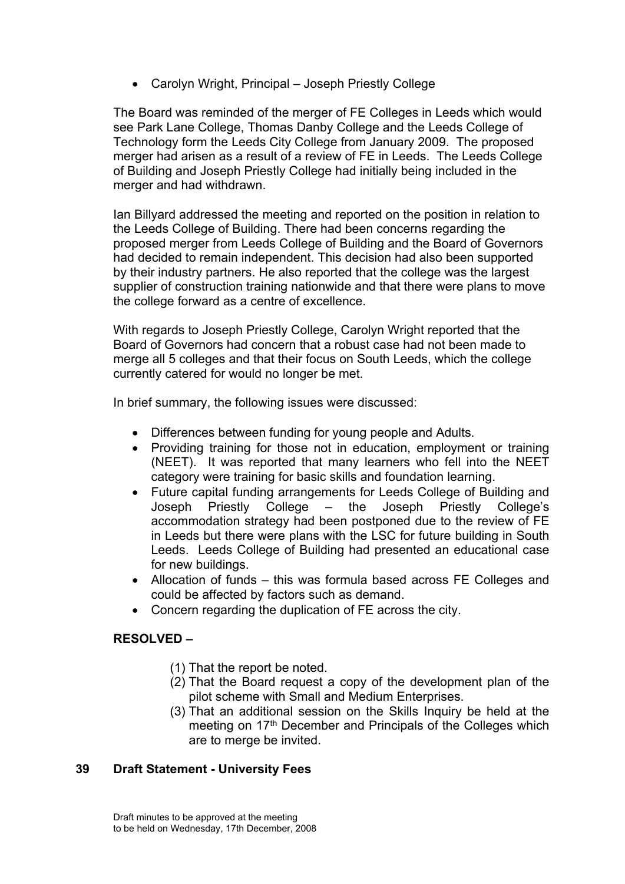• Carolyn Wright, Principal – Joseph Priestly College

The Board was reminded of the merger of FE Colleges in Leeds which would see Park Lane College, Thomas Danby College and the Leeds College of Technology form the Leeds City College from January 2009. The proposed merger had arisen as a result of a review of FE in Leeds. The Leeds College of Building and Joseph Priestly College had initially being included in the merger and had withdrawn.

Ian Billyard addressed the meeting and reported on the position in relation to the Leeds College of Building. There had been concerns regarding the proposed merger from Leeds College of Building and the Board of Governors had decided to remain independent. This decision had also been supported by their industry partners. He also reported that the college was the largest supplier of construction training nationwide and that there were plans to move the college forward as a centre of excellence.

With regards to Joseph Priestly College, Carolyn Wright reported that the Board of Governors had concern that a robust case had not been made to merge all 5 colleges and that their focus on South Leeds, which the college currently catered for would no longer be met.

In brief summary, the following issues were discussed:

- Differences between funding for young people and Adults.
- Providing training for those not in education, employment or training (NEET). It was reported that many learners who fell into the NEET category were training for basic skills and foundation learning.
- Future capital funding arrangements for Leeds College of Building and Joseph Priestly College – the Joseph Priestly College's accommodation strategy had been postponed due to the review of FE in Leeds but there were plans with the LSC for future building in South Leeds. Leeds College of Building had presented an educational case for new buildings.
- Allocation of funds this was formula based across FE Colleges and could be affected by factors such as demand.
- Concern regarding the duplication of FE across the city.

# **RESOLVED –**

- (1) That the report be noted.
- (2) That the Board request a copy of the development plan of the pilot scheme with Small and Medium Enterprises.
- (3) That an additional session on the Skills Inquiry be held at the meeting on 17<sup>th</sup> December and Principals of the Colleges which are to merge be invited.

## **39 Draft Statement - University Fees**